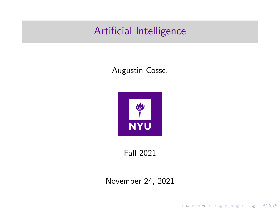### Artificial Intelligence

#### Augustin Cosse.



Fall 2021

November 24, 2021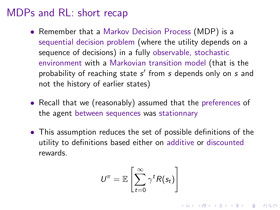- Remember that a Markov Decision Process (MDP) is a sequential decision problem (where the utility depends on a sequence of decisions) in a fully observable, stochastic environment with a Markovian transition model (that is the probability of reaching state  $s'$  from  $s$  depends only on  $s$  and not the history of earlier states)
- Recall that we (reasonably) assumed that the preferences of the agent between sequences was stationnary
- This assumption reduces the set of possible definitions of the utility to definitions based either on additive or discounted rewards.

$$
U^{\pi} = \mathbb{E}\left[\sum_{t=0}^{\infty} \gamma^t R(s_t)\right]
$$

KID KA KERKER KID KO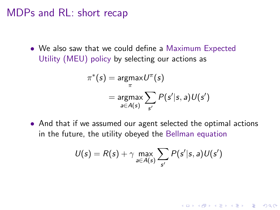• We also saw that we could define a Maximum Expected Utility (MEU) policy by selecting our actions as

$$
\pi^*(s) = \underset{\pi}{\text{argmax}} U^{\pi}(s)
$$

$$
= \underset{a \in A(s)}{\text{argmax}} \sum_{s'} P(s'|s, a) U(s')
$$

• And that if we assumed our agent selected the optimal actions in the future, the utility obeyed the Bellman equation

$$
U(s) = R(s) + \gamma \max_{a \in A(s)} \sum_{s'} P(s'|s, a) U(s')
$$

K ロ ▶ K 個 ▶ K 할 ▶ K 할 ▶ 이 할 → 9 Q Q →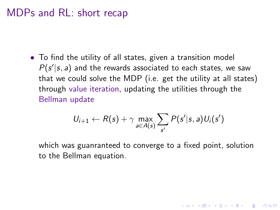• To find the utility of all states, given a transition model  $P(s'|s, a)$  and the rewards associated to each states, we saw that we could solve the MDP (i.e. get the utility at all states) through value iteration, updating the utilities through the Bellman update

$$
U_{i+1} \leftarrow R(s) + \gamma \max_{a \in A(s)} \sum_{s'} P(s'|s,a) U_i(s')
$$

which was guanranteed to converge to a fixed point, solution to the Bellman equation.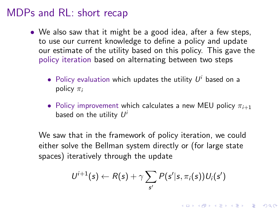- We also saw that it might be a good idea, after a few steps, to use our current knowledge to define a policy and update our estimate of the utility based on this policy. This gave the policy iteration based on alternating between two steps
	- $\bullet$  Policy evaluation which updates the utility  $U^i$  based on a policy  $\pi_i$
	- Policy improvement which calculates a new MEU policy  $\pi_{i+1}$ based on the utility  $U'$

We saw that in the framework of policy iteration, we could either solve the Bellman system directly or (for large state spaces) iteratively through the update

$$
U^{i+1}(s) \leftarrow R(s) + \gamma \sum_{s'} P(s'|s, \pi_i(s)) U_i(s')
$$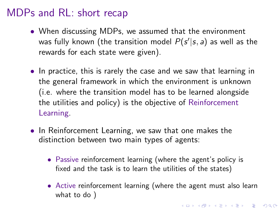- When discussing MDPs, we assumed that the environment was fully known (the transition model  $P(s'|s,a)$  as well as the rewards for each state were given).
- In practice, this is rarely the case and we saw that learning in the general framework in which the environment is unknown (i.e. where the transition model has to be learned alongside the utilities and policy) is the objective of Reinforcement Learning.
- In Reinforcement Learning, we saw that one makes the distinction between two main types of agents:
	- Passive reinforcement learning (where the agent's policy is fixed and the task is to learn the utilities of the states)
	- Active reinforcement learning (where the agent must also learn what to do )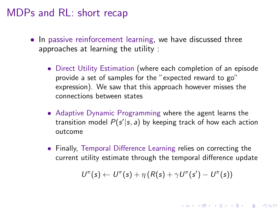- In passive reinforcement learning, we have discussed three approaches at learning the utility :
	- Direct Utility Estimation (where each completion of an episode provide a set of samples for the "expected reward to go" expression). We saw that this approach however misses the connections between states
	- Adaptive Dynamic Programming where the agent learns the transition model  $P(s'|s, a)$  by keeping track of how each action outcome
	- Finally, Temporal Difference Learning relies on correcting the current utility estimate through the temporal difference update

$$
U^{\pi}(s) \leftarrow U^{\pi}(s) + \eta (R(s) + \gamma U^{\pi}(s') - U^{\pi}(s))
$$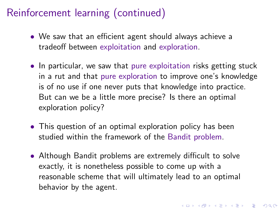- We saw that an efficient agent should always achieve a tradeoff between exploitation and exploration.
- In particular, we saw that pure exploitation risks getting stuck in a rut and that pure exploration to improve one's knowledge is of no use if one never puts that knowledge into practice. But can we be a little more precise? Is there an optimal exploration policy?
- This question of an optimal exploration policy has been studied within the framework of the Bandit problem.
- Although Bandit problems are extremely difficult to solve exactly, it is nonetheless possible to come up with a reasonable scheme that will ultimately lead to an optimal behavior by the agent.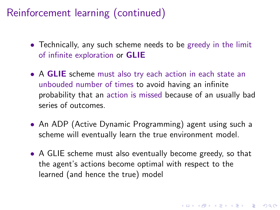- Technically, any such scheme needs to be greedy in the limit of infinite exploration or GLIE
- A GLIE scheme must also try each action in each state an unbouded number of times to avoid having an infinite probability that an action is missed because of an usually bad series of outcomes.
- An ADP (Active Dynamic Programming) agent using such a scheme will eventually learn the true environment model.
- A GLIE scheme must also eventually become greedy, so that the agent's actions become optimal with respect to the learned (and hence the true) model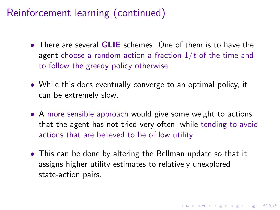- There are several **GLIE** schemes. One of them is to have the agent choose a random action a fraction  $1/t$  of the time and to follow the greedy policy otherwise.
- While this does eventually converge to an optimal policy, it can be extremely slow.
- A more sensible approach would give some weight to actions that the agent has not tried very often, while tending to avoid actions that are believed to be of low utility.
- This can be done by altering the Bellman update so that it assigns higher utility estimates to relatively unexplored state-action pairs.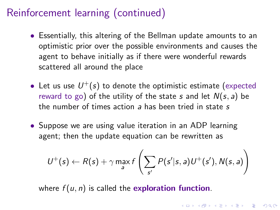- Essentially, this altering of the Bellman update amounts to an optimistic prior over the possible environments and causes the agent to behave initially as if there were wonderful rewards scattered all around the place
- $\bullet\,$  Let us use  $\,U^{+}(s)\,$  to denote the optimistic estimate (expected reward to go) of the utility of the state s and let  $N(s, a)$  be the number of times action a has been tried in state s
- Suppose we are using value iteration in an ADP learning agent; then the update equation can be rewritten as

$$
U^+(s) \leftarrow R(s) + \gamma \max_{a} f\left(\sum_{s'} P(s'|s,a) U^+(s'), N(s,a)\right)
$$

**KORK EXTERNE PROVIDE** 

where  $f(u, n)$  is called the exploration function.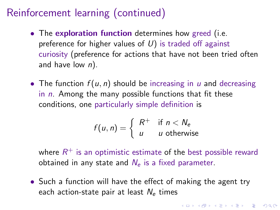- The exploration function determines how greed (i.e. preference for higher values of  $U$ ) is traded off against curiosity (preference for actions that have not been tried often and have low  $n$ ).
- The function  $f(u, n)$  should be increasing in u and decreasing in  $n$ . Among the many possible functions that fit these conditions, one particularly simple definition is

$$
f(u, n) = \begin{cases} R^+ & \text{if } n < N_e \\ u & u \text{ otherwise} \end{cases}
$$

where  $R^+$  is an optimistic estimate of the best possible reward obtained in any state and  $N_e$  is a fixed parameter.

• Such a function will have the effect of making the agent try each action-state pair at least  $N_e$  times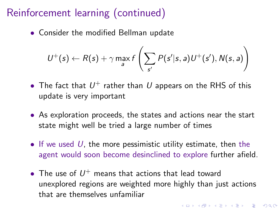• Consider the modified Bellman update

$$
U^+(s) \leftarrow R(s) + \gamma \max_{a} f\left(\sum_{s'} P(s'|s,a) U^+(s'), N(s,a)\right)
$$

- $\bullet$  The fact that  $U^+$  rather than  $U$  appears on the RHS of this update is very important
- As exploration proceeds, the states and actions near the start state might well be tried a large number of times
- If we used  $U$ , the more pessimistic utility estimate, then the agent would soon become desinclined to explore further afield.
- $\bullet$  The use of  $U^{+}$  means that actions that lead toward unexplored regions are weighted more highly than just actions that are themselves unfamiliar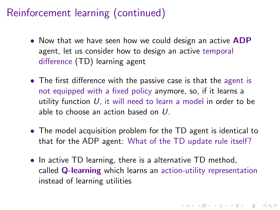- Now that we have seen how we could design an active **ADP** agent, let us consider how to design an active temporal difference (TD) learning agent
- The first difference with the passive case is that the agent is not equipped with a fixed policy anymore, so, if it learns a utility function  $U$ , it will need to learn a model in order to be able to choose an action based on U.
- The model acquisition problem for the TD agent is identical to that for the ADP agent: What of the TD update rule itself?
- In active TD learning, there is a alternative TD method, called Q-learning which learns an action-utility representation instead of learning utilities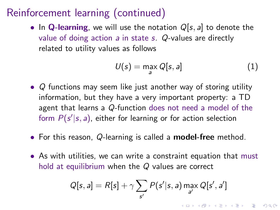• In Q-learning, we will use the notation  $Q[s, a]$  to denote the value of doing action  $a$  in state  $s$ . Q-values are directly related to utility values as follows

$$
U(s) = \max_{a} Q[s, a]
$$
 (1)

**KORKAR KERKER SAGA** 

- Q functions may seem like just another way of storing utility information, but they have a very important property: a TD agent that learns a Q-function does not need a model of the form  $P(s'|s, a)$ , either for learning or for action selection
- For this reason, Q-learning is called a **model-free** method.
- As with utilities, we can write a constraint equation that must hold at equilibrium when the Q values are correct

$$
Q[s, a] = R[s] + \gamma \sum_{s'} P(s'|s, a) \max_{a'} Q[s', a']
$$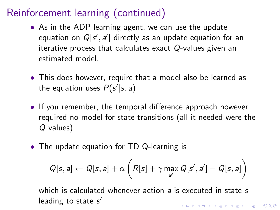- As in the ADP learning agent, we can use the update equation on  $Q[s', a']$  directly as an update equation for an iterative process that calculates exact Q-values given an estimated model.
- This does however, require that a model also be learned as the equation uses  $P(s'|s, a)$
- If you remember, the temporal difference approach however required no model for state transitions (all it needed were the Q values)
- The update equation for TD Q-learning is

$$
Q[s,a] \leftarrow Q[s,a] + \alpha \left( R[s] + \gamma \max_{a'} Q[s',a'] - Q[s,a] \right)
$$

which is calculated whenever action a is executed in state s leading to state s' KID KA KERKER E VOLO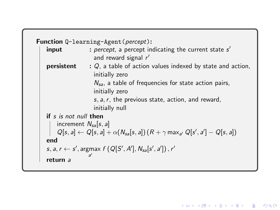```
Function Q-learning-Agent(percept):
 input : percept, a percept indicating the current state s'and reward signal r'persistent : Q, a table of action values indexed by state and action,
                   initially zero
                   N_{sa}, a table of frequencies for state action pairs,
                   initially zero
                   s, a, r, the previous state, action, and reward,
                   initially null
if s is not null then
    increment N_{sa}[s, a]Q[s, a] \leftarrow Q[s, a] + \alpha(N_{sa}[s, a]) (R + \gamma \max_{a'} Q[s', a'] - Q[s, a])end
 s, a, r \leftarrow s', \argmax_{a'} f(Q[S', A'], N_{sa}[s', a']), r'
                 a
 return a
```
**KORK EXTERNE PROVIDE**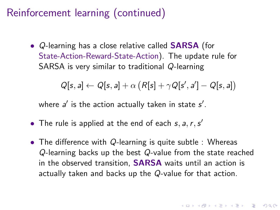• Q-learning has a close relative called **SARSA** (for State-Action-Reward-State-Action). The update rule for SARSA is very similar to traditional Q-learning

$$
Q[s, a] \leftarrow Q[s, a] + \alpha \left( R[s] + \gamma Q[s', a'] - Q[s, a] \right)
$$

where  $a'$  is the action actually taken in state  $s'$ .

- The rule is applied at the end of each  $s, a, r, s'$
- The difference with Q-learning is quite subtle : Whereas Q-learning backs up the best Q-value from the state reached in the observed transition, SARSA waits until an action is actually taken and backs up the Q-value for that action.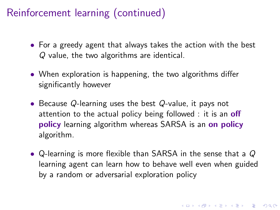- For a greedy agent that always takes the action with the best Q value, the two algorithms are identical.
- When exploration is happening, the two algorithms differ significantly however
- Because Q-learning uses the best Q-value, it pays not attention to the actual policy being followed : it is an **off** policy learning algorithm whereas SARSA is an on policy algorithm.
- Q-learning is more flexible than SARSA in the sense that a Q learning agent can learn how to behave well even when guided by a random or adversarial exploration policy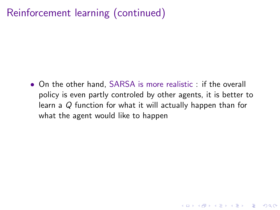• On the other hand, SARSA is more realistic : if the overall policy is even partly controled by other agents, it is better to learn a Q function for what it will actually happen than for what the agent would like to happen

**KORKARYKERKER POLO**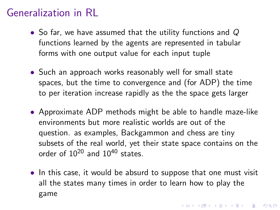- So far, we have assumed that the utility functions and Q functions learned by the agents are represented in tabular forms with one output value for each input tuple
- Such an approach works reasonably well for small state spaces, but the time to convergence and (for ADP) the time to per iteration increase rapidly as the the space gets larger
- Approximate ADP methods might be able to handle maze-like environments but more realistic worlds are out of the question. as examples, Backgammon and chess are tiny subsets of the real world, yet their state space contains on the order of 10<sup>20</sup> and 10<sup>40</sup> states.
- In this case, it would be absurd to suppose that one must visit all the states many times in order to learn how to play the game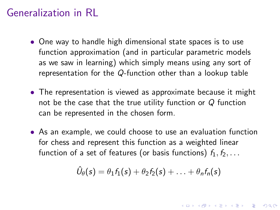- One way to handle high dimensional state spaces is to use function approximation (and in particular parametric models as we saw in learning) which simply means using any sort of representation for the Q-function other than a lookup table
- The representation is viewed as approximate because it might not be the case that the true utility function or  $Q$  function can be represented in the chosen form.
- As an example, we could choose to use an evaluation function for chess and represent this function as a weighted linear function of a set of features (or basis functions)  $f_1, f_2, \ldots$

$$
\hat{U}_{\theta}(s) = \theta_1 f_1(s) + \theta_2 f_2(s) + \ldots + \theta_n f_n(s)
$$

**KORK EXTERNE PROVIDE**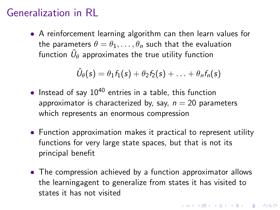• A reinforcement learning algorithm can then learn values for the parameters  $\theta = \theta_1, \ldots, \theta_n$  such that the evaluation function  $\hat{U}_{\theta}$  approximates the true utility function

$$
\hat{U}_{\theta}(s) = \theta_1 f_1(s) + \theta_2 f_2(s) + \ldots + \theta_n f_n(s)
$$

- Instead of say  $10^{40}$  entries in a table, this function approximator is characterized by, say,  $n = 20$  parameters which represents an enormous compression
- Function approximation makes it practical to represent utility functions for very large state spaces, but that is not its principal benefit
- The compression achieved by a function approximator allows the learningagent to generalize from states it has visited to states it has not visited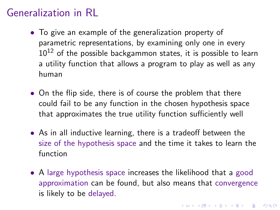- To give an example of the generalization property of parametric representations, by examining only one in every  $10^{12}$  of the possible backgammon states, it is possible to learn a utility function that allows a program to play as well as any human
- On the flip side, there is of course the problem that there could fail to be any function in the chosen hypothesis space that approximates the true utility function sufficiently well
- As in all inductive learning, there is a tradeoff between the size of the hypothesis space and the time it takes to learn the function
- A large hypothesis space increases the likelihood that a good approximation can be found, but also means that convergence is likely to be delayed.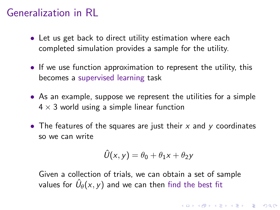- Let us get back to direct utility estimation where each completed simulation provides a sample for the utility.
- If we use function approximation to represent the utility, this becomes a supervised learning task
- As an example, suppose we represent the utilities for a simple  $4 \times 3$  world using a simple linear function
- The features of the squares are just their  $x$  and  $y$  coordinates so we can write

$$
\hat{U}(x,y) = \theta_0 + \theta_1 x + \theta_2 y
$$

Given a collection of trials, we can obtain a set of sample values for  $\hat{U}_{\theta}(\mathsf{x},\mathsf{y})$  and we can then find the best fit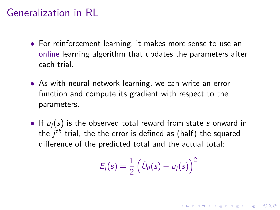- For reinforcement learning, it makes more sense to use an online learning algorithm that updates the parameters after each trial.
- As with neural network learning, we can write an error function and compute its gradient with respect to the parameters.
- If  $u_i(s)$  is the observed total reward from state s onward in the  $j^{th}$  trial, the the error is defined as (half) the squared difference of the predicted total and the actual total:

$$
E_j(s) = \frac{1}{2} \left( \hat{U}_{\theta}(s) - u_j(s) \right)^2
$$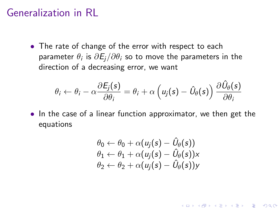• The rate of change of the error with respect to each parameter  $\theta_i$  is  $\partial E_j/\partial\theta_i$  so to move the parameters in the direction of a decreasing error, we want

$$
\theta_i \leftarrow \theta_i - \alpha \frac{\partial E_j(s)}{\partial \theta_i} = \theta_i + \alpha \left( u_j(s) - \hat{U}_{\theta}(s) \right) \frac{\partial \hat{U}_{\theta}(s)}{\partial \theta_i}
$$

• In the case of a linear function approximator, we then get the equations

$$
\theta_0 \leftarrow \theta_0 + \alpha(u_j(s) - \hat{U}_{\theta}(s)) \n\theta_1 \leftarrow \theta_1 + \alpha(u_j(s) - \hat{U}_{\theta}(s)) \times \n\theta_2 \leftarrow \theta_2 + \alpha(u_j(s) - \hat{U}_{\theta}(s)) \times
$$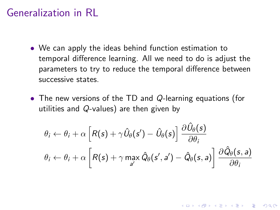- We can apply the ideas behind function estimation to temporal difference learning. All we need to do is adjust the parameters to try to reduce the temporal difference between successive states.
- The new versions of the TD and Q-learning equations (for utilities and Q-values) are then given by

$$
\theta_{i} \leftarrow \theta_{i} + \alpha \left[ R(s) + \gamma \hat{U}_{\theta}(s') - \hat{U}_{\theta}(s) \right] \frac{\partial \hat{U}_{\theta}(s)}{\partial \theta_{i}}
$$

$$
\theta_{i} \leftarrow \theta_{i} + \alpha \left[ R(s) + \gamma \max_{a'} \hat{Q}_{\theta}(s', a') - \hat{Q}_{\theta}(s, a) \right] \frac{\partial \hat{Q}_{\theta}(s, a)}{\partial \theta_{i}}
$$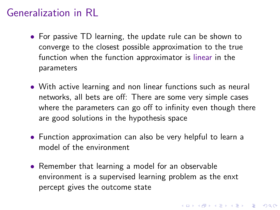- For passive TD learning, the update rule can be shown to converge to the closest possible approximation to the true function when the function approximator is linear in the parameters
- With active learning and non linear functions such as neural networks, all bets are off: There are some very simple cases where the parameters can go off to infinity even though there are good solutions in the hypothesis space
- Function approximation can also be very helpful to learn a model of the environment
- Remember that learning a model for an observable environment is a supervised learning problem as the enxt percept gives the outcome state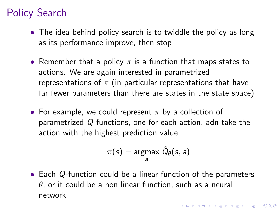- The idea behind policy search is to twiddle the policy as long as its performance improve, then stop
- Remember that a policy  $\pi$  is a function that maps states to actions. We are again interested in parametrized representations of  $\pi$  (in particular representations that have far fewer parameters than there are states in the state space)
- For example, we could represent  $\pi$  by a collection of parametrized Q-functions, one for each action, adn take the action with the highest prediction value

$$
\pi(s) = \underset{a}{\text{argmax}} \ \hat{Q}_{\theta}(s, a)
$$

• Each Q-function could be a linear function of the parameters  $\theta$ , or it could be a non linear function, such as a neural network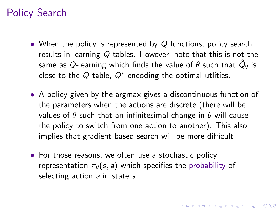- When the policy is represented by  $Q$  functions, policy search results in learning Q-tables. However, note that this is not the same as  $Q$ -learning which finds the value of  $\theta$  such that  $\hat{Q}_{\theta}$  is close to the  $Q$  table,  $Q^*$  encoding the optimal utlities.
- A policy given by the argmax gives a discontinuous function of the parameters when the actions are discrete (there will be values of  $\theta$  such that an infinitesimal change in  $\theta$  will cause the policy to switch from one action to another). This also implies that gradient based search will be more difficult

**KORK EXTERNE PROVIDE** 

• For those reasons, we often use a stochastic policy representation  $\pi_{\theta}(s, a)$  which specifies the probability of selecting action a in state s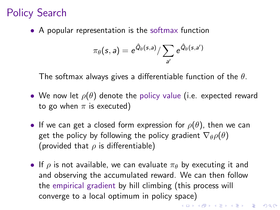• A popular representation is the softmax function

$$
\pi_\theta(s, a) = e^{\hat{Q}_\theta(s, a)} / \sum_{a'} e^{\hat{Q}_\theta(s, a')}
$$

The softmax always gives a differentiable function of the  $\theta$ .

- We now let  $\rho(\theta)$  denote the policy value (i.e. expected reward to go when  $\pi$  is executed)
- If we can get a closed form expression for  $\rho(\theta)$ , then we can get the policy by following the policy gradient  $\nabla_{\theta} \rho(\theta)$ (provided that  $\rho$  is differentiable)
- If  $\rho$  is not available, we can evaluate  $\pi_{\theta}$  by executing it and and observing the accumulated reward. We can then follow the empirical gradient by hill climbing (this process will converge to a local optimum in policy space)

**KORKAR KERKER E VOOR**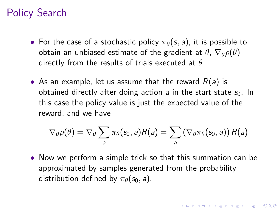- For the case of a stochastic policy  $\pi_{\theta}(s, a)$ , it is possible to obtain an unbiased estimate of the gradient at  $\theta$ ,  $\nabla_{\theta} \rho(\theta)$ directly from the results of trials executed at  $\theta$
- As an example, let us assume that the reward  $R(a)$  is obtained directly after doing action a in the start state  $s_0$ . In this case the policy value is just the expected value of the reward, and we have

$$
\nabla_{\theta} \rho(\theta) = \nabla_{\theta} \sum_{\textit{a}} \pi_{\theta}(\textit{s}_{0},\textit{a}) R(\textit{a}) = \sum_{\textit{a}} \left( \nabla_{\theta} \pi_{\theta}(\textit{s}_{0},\textit{a}) \right) R(\textit{a})
$$

• Now we perform a simple trick so that this summation can be approximated by samples generated from the probability distribution defined by  $\pi_{\theta}(s_0, a)$ .

**KORKAR KERKER SAGA**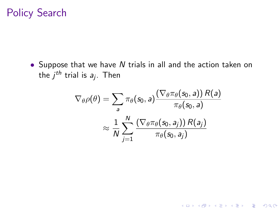• Suppose that we have N trials in all and the action taken on the  $j^{th}$  trial is  $\emph{a}_{j}.$  Then

$$
\nabla_{\theta} \rho(\theta) = \sum_{\mathbf{a}} \pi_{\theta}(s_0, \mathbf{a}) \frac{\left(\nabla_{\theta} \pi_{\theta}(s_0, \mathbf{a})\right) R(\mathbf{a})}{\pi_{\theta}(s_0, \mathbf{a})} \\ \approx \frac{1}{N} \sum_{j=1}^{N} \frac{\left(\nabla_{\theta} \pi_{\theta}(s_0, \mathbf{a}_j)\right) R(\mathbf{a}_j)}{\pi_{\theta}(s_0, \mathbf{a}_j)}
$$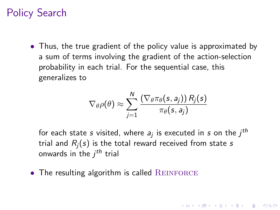• Thus, the true gradient of the policy value is approximated by a sum of terms involving the gradient of the action-selection probability in each trial. For the sequential case, this generalizes to

$$
\nabla_{\theta} \rho(\theta) \approx \sum_{j=1}^N \frac{\left(\nabla_{\theta} \pi_{\theta}(s, a_j) \right) R_j(s)}{\pi_{\theta}(s, a_j)}
$$

for each state  $s$  visited, where  $a_j$  is executed in  $s$  on the  $j^\textit{th}$ trial and  $R_i(s)$  is the total reward received from state s onwards in the  $j^{th}$  trial

**KORKAR KERKER SAGA** 

 $\bullet$  The resulting algorithm is called REINFORCE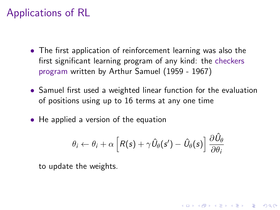- The first application of reinforcement learning was also the first significant learning program of any kind: the checkers program written by Arthur Samuel (1959 - 1967)
- Samuel first used a weighted linear function for the evaluation of positions using up to 16 terms at any one time
- He applied a version of the equation

$$
\theta_i \leftarrow \theta_i + \alpha \left[ R(s) + \gamma \hat{U}_{\theta}(s') - \hat{U}_{\theta}(s) \right] \frac{\partial \hat{U}_{\theta}}{\partial \theta_i}
$$

**KORKAR KERKER SAGA** 

to update the weights.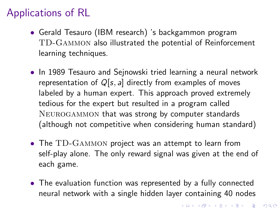- Gerald Tesauro (IBM research) 's backgammon program TD-Gammon also illustrated the potential of Reinforcement learning techniques.
- In 1989 Tesauro and Sejnowski tried learning a neural network representation of  $Q[s, a]$  directly from examples of moves labeled by a human expert. This approach proved extremely tedious for the expert but resulted in a program called Neurogammon that was strong by computer standards (although not competitive when considering human standard)
- The TD-GAMMON project was an attempt to learn from self-play alone. The only reward signal was given at the end of each game.
- The evaluation function was represented by a fully connected neural network with a single hidden layer containing 40 nodes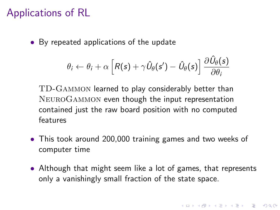• By repeated applications of the update

$$
\theta_i \leftarrow \theta_i + \alpha \left[ R(s) + \gamma \hat{U}_{\theta}(s') - \hat{U}_{\theta}(s) \right] \frac{\partial \hat{U}_{\theta}(s)}{\partial \theta_i}
$$

TD-Gammon learned to play considerably better than NeuroGammon even though the input representation contained just the raw board position with no computed features

- This took around 200,000 training games and two weeks of computer time
- Although that might seem like a lot of games, that represents only a vanishingly small fraction of the state space.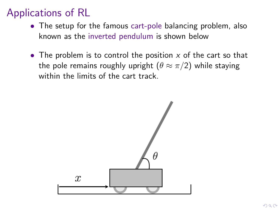- The setup for the famous cart-pole balancing problem, also known as the inverted pendulum is shown below
- The problem is to control the position  $x$  of the cart so that the pole remains roughly upright  $(\theta \approx \pi/2)$  while staying within the limits of the cart track.

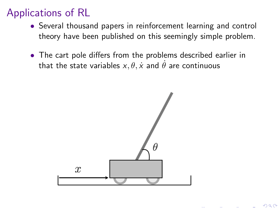- Several thousand papers in reinforcement learning and control theory have been published on this seemingly simple problem.
- The cart pole differs from the problems described earlier in that the state variables  $x, \theta, \dot{x}$  and  $\dot{\theta}$  are continuous

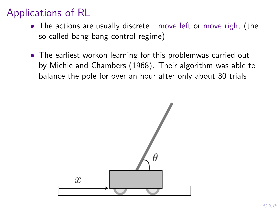- The actions are usually discrete : move left or move right (the so-called bang bang control regime)
- The earliest workon learning for this problemwas carried out by Michie and Chambers (1968). Their algorithm was able to balance the pole for over an hour after only about 30 trials